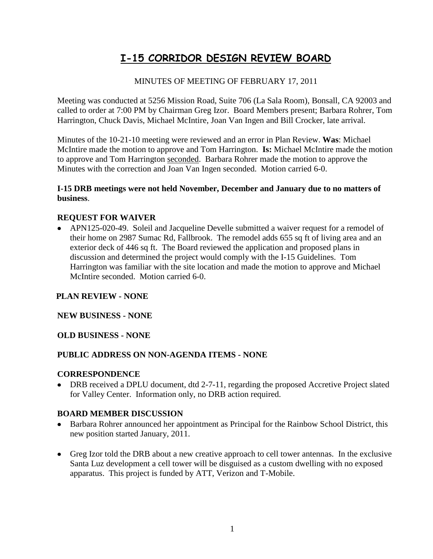# **I-15 CORRIDOR DESIGN REVIEW BOARD**

# MINUTES OF MEETING OF FEBRUARY 17, 2011

Meeting was conducted at 5256 Mission Road, Suite 706 (La Sala Room), Bonsall, CA 92003 and called to order at 7:00 PM by Chairman Greg Izor. Board Members present; Barbara Rohrer, Tom Harrington, Chuck Davis, Michael McIntire, Joan Van Ingen and Bill Crocker, late arrival.

Minutes of the 10-21-10 meeting were reviewed and an error in Plan Review. **Was**: Michael McIntire made the motion to approve and Tom Harrington. **Is:** Michael McIntire made the motion to approve and Tom Harrington seconded. Barbara Rohrer made the motion to approve the Minutes with the correction and Joan Van Ingen seconded. Motion carried 6-0.

#### **I-15 DRB meetings were not held November, December and January due to no matters of business**.

### **REQUEST FOR WAIVER**

APN125-020-49. Soleil and Jacqueline Develle submitted a waiver request for a remodel of their home on 2987 Sumac Rd, Fallbrook. The remodel adds 655 sq ft of living area and an exterior deck of 446 sq ft. The Board reviewed the application and proposed plans in discussion and determined the project would comply with the I-15 Guidelines. Tom Harrington was familiar with the site location and made the motion to approve and Michael McIntire seconded. Motion carried 6-0.

#### **PLAN REVIEW - NONE**

#### **NEW BUSINESS - NONE**

#### **OLD BUSINESS - NONE**

## **PUBLIC ADDRESS ON NON-AGENDA ITEMS - NONE**

#### **CORRESPONDENCE**

• DRB received a DPLU document, dtd 2-7-11, regarding the proposed Accretive Project slated for Valley Center. Information only, no DRB action required.

#### **BOARD MEMBER DISCUSSION**

- Barbara Rohrer announced her appointment as Principal for the Rainbow School District, this new position started January, 2011.
- Greg Izor told the DRB about a new creative approach to cell tower antennas. In the exclusive Santa Luz development a cell tower will be disguised as a custom dwelling with no exposed apparatus. This project is funded by ATT, Verizon and T-Mobile.